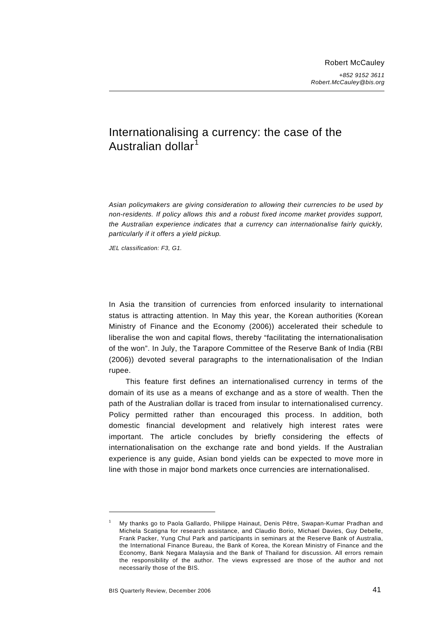# Internationalising a currency: the case of the Australian dollar<sup>1</sup>

*Asian policymakers are giving consideration to allowing their currencies to be used by non-residents. If policy allows this and a robust fixed income market provides support, the Australian experience indicates that a currency can internationalise fairly quickly, particularly if it offers a yield pickup.* 

*JEL classification: F3, G1.* 

In Asia the transition of currencies from enforced insularity to international status is attracting attention. In May this year, the Korean authorities (Korean Ministry of Finance and the Economy (2006)) accelerated their schedule to liberalise the won and capital flows, thereby "facilitating the internationalisation of the won". In July, the Tarapore Committee of the Reserve Bank of India (RBI (2006)) devoted several paragraphs to the internationalisation of the Indian rupee.

This feature first defines an internationalised currency in terms of the domain of its use as a means of exchange and as a store of wealth. Then the path of the Australian dollar is traced from insular to internationalised currency. Policy permitted rather than encouraged this process. In addition, both domestic financial development and relatively high interest rates were important. The article concludes by briefly considering the effects of internationalisation on the exchange rate and bond yields. If the Australian experience is any guide, Asian bond yields can be expected to move more in line with those in major bond markets once currencies are internationalised.

1

<span id="page-0-0"></span><sup>1</sup> My thanks go to Paola Gallardo, Philippe Hainaut, Denis Pêtre, Swapan-Kumar Pradhan and Michela Scatigna for research assistance, and Claudio Borio, Michael Davies, Guy Debelle, Frank Packer, Yung Chul Park and participants in seminars at the Reserve Bank of Australia, the International Finance Bureau, the Bank of Korea, the Korean Ministry of Finance and the Economy, Bank Negara Malaysia and the Bank of Thailand for discussion. All errors remain the responsibility of the author. The views expressed are those of the author and not necessarily those of the BIS.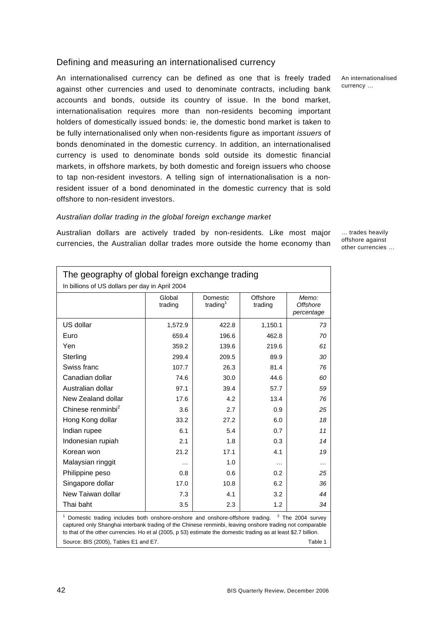## Defining and measuring an internationalised currency

An internationalised currency can be defined as one that is freely traded against other currencies and used to denominate contracts, including bank accounts and bonds, outside its country of issue. In the bond market, internationalisation requires more than non-residents becoming important holders of domestically issued bonds: ie, the domestic bond market is taken to be fully internationalised only when non-residents figure as important *issuers* of bonds denominated in the domestic currency. In addition, an internationalised currency is used to denominate bonds sold outside its domestic financial markets, in offshore markets, by both domestic and foreign issuers who choose to tap non-resident investors. A telling sign of internationalisation is a nonresident issuer of a bond denominated in the domestic currency that is sold offshore to non-resident investors.

### *Australian dollar trading in the global foreign exchange market*

The geography of global foreign exchange trading

Global trading

In billions of US dollars per day in April 2004

Australian dollars are actively traded by non-residents. Like most major currencies, the Australian dollar trades more outside the home economy than

US dollar 1,572.9 422.8 1,150.1 *73*  Euro 659.4 196.6 462.8 *70*  Yen 359.2 139.6 219.6 *61*  Sterling 299.4 209.5 89.9 *30*  Swiss franc **107.7 26.3** 81.4 **76** 

Domestic trading $<sup>1</sup>$ </sup>

**Offshore** trading

*Memo: Offshore percentage*  … trades heavily offshore against other currencies …

| Canadian dollar                                                                                                                                                                                                                                                                                                                          | 74.6     | 30.0 | 44.6     | 60 |  |  |  |  |
|------------------------------------------------------------------------------------------------------------------------------------------------------------------------------------------------------------------------------------------------------------------------------------------------------------------------------------------|----------|------|----------|----|--|--|--|--|
| Australian dollar                                                                                                                                                                                                                                                                                                                        | 97.1     | 39.4 | 57.7     | 59 |  |  |  |  |
| New Zealand dollar                                                                                                                                                                                                                                                                                                                       | 17.6     | 4.2  | 13.4     | 76 |  |  |  |  |
| Chinese renminbi <sup>2</sup>                                                                                                                                                                                                                                                                                                            | 3.6      | 2.7  | 0.9      | 25 |  |  |  |  |
| Hong Kong dollar                                                                                                                                                                                                                                                                                                                         | 33.2     | 27.2 | 6.0      | 18 |  |  |  |  |
| Indian rupee                                                                                                                                                                                                                                                                                                                             | 6.1      | 5.4  | 0.7      | 11 |  |  |  |  |
| Indonesian rupiah                                                                                                                                                                                                                                                                                                                        | 2.1      | 1.8  | 0.3      | 14 |  |  |  |  |
| Korean won                                                                                                                                                                                                                                                                                                                               | 21.2     | 17.1 | 4.1      | 19 |  |  |  |  |
| Malaysian ringgit                                                                                                                                                                                                                                                                                                                        | $\cdots$ | 1.0  | $\cdots$ | .  |  |  |  |  |
| Philippine peso                                                                                                                                                                                                                                                                                                                          | 0.8      | 0.6  | 0.2      | 25 |  |  |  |  |
| Singapore dollar                                                                                                                                                                                                                                                                                                                         | 17.0     | 10.8 | 6.2      | 36 |  |  |  |  |
| New Taiwan dollar                                                                                                                                                                                                                                                                                                                        | 7.3      | 4.1  | 3.2      | 44 |  |  |  |  |
| Thai baht                                                                                                                                                                                                                                                                                                                                | 3.5      | 2.3  | 1.2      | 34 |  |  |  |  |
| Domestic trading includes both onshore-onshore and onshore-offshore trading. <sup>2</sup> The 2004 survey<br>captured only Shanghai interbank trading of the Chinese renminbi, leaving onshore trading not comparable<br>to that of the other currencies. Ho et al (2005, p 53) estimate the domestic trading as at least \$2.7 billion. |          |      |          |    |  |  |  |  |
| Source: BIS (2005), Tables E1 and E7.<br>Table 1                                                                                                                                                                                                                                                                                         |          |      |          |    |  |  |  |  |

An internationalised currency …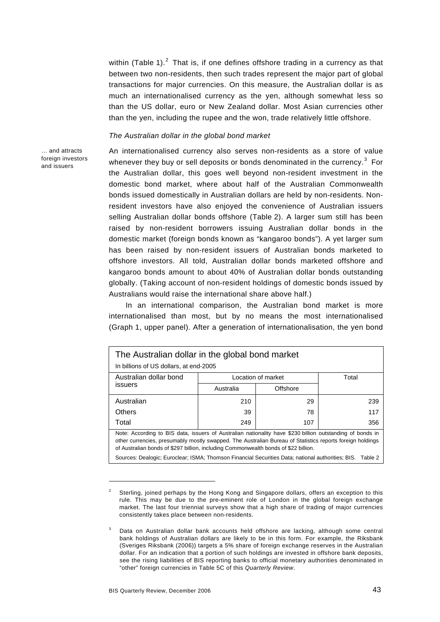within (Table 1). $^{2}$  $^{2}$  $^{2}$  That is, if one defines offshore trading in a currency as that between two non-residents, then such trades represent the major part of global transactions for major currencies. On this measure, the Australian dollar is as much an internationalised currency as the yen, although somewhat less so than the US dollar, euro or New Zealand dollar. Most Asian currencies other than the yen, including the rupee and the won, trade relatively little offshore.

### *The Australian dollar in the global bond market*

… and attracts foreign investors and issuers

An internationalised currency also serves non-residents as a store of value whenever they buy or sell deposits or bonds denominated in the currency. $3$  For the Australian dollar, this goes well beyond non-resident investment in the domestic bond market, where about half of the Australian Commonwealth bonds issued domestically in Australian dollars are held by non-residents. Nonresident investors have also enjoyed the convenience of Australian issuers selling Australian dollar bonds offshore (Table 2). A larger sum still has been raised by non-resident borrowers issuing Australian dollar bonds in the domestic market (foreign bonds known as "kangaroo bonds"). A yet larger sum has been raised by non-resident issuers of Australian bonds marketed to offshore investors. All told, Australian dollar bonds marketed offshore and kangaroo bonds amount to about 40% of Australian dollar bonds outstanding globally. (Taking account of non-resident holdings of domestic bonds issued by Australians would raise the international share above half.)

In an international comparison, the Australian bond market is more internationalised than most, but by no means the most internationalised (Graph 1, upper panel). After a generation of internationalisation, the yen bond

| The Australian dollar in the global bond market                                                                                                                                                                                                                                                                                                                                                                               |                    |          |     |  |  |  |  |  |  |
|-------------------------------------------------------------------------------------------------------------------------------------------------------------------------------------------------------------------------------------------------------------------------------------------------------------------------------------------------------------------------------------------------------------------------------|--------------------|----------|-----|--|--|--|--|--|--|
| In billions of US dollars, at end-2005                                                                                                                                                                                                                                                                                                                                                                                        |                    |          |     |  |  |  |  |  |  |
| Australian dollar bond<br>issuers                                                                                                                                                                                                                                                                                                                                                                                             | Location of market | Total    |     |  |  |  |  |  |  |
|                                                                                                                                                                                                                                                                                                                                                                                                                               | Australia          | Offshore |     |  |  |  |  |  |  |
| Australian                                                                                                                                                                                                                                                                                                                                                                                                                    | 210                | 29       | 239 |  |  |  |  |  |  |
| Others                                                                                                                                                                                                                                                                                                                                                                                                                        | 39                 | 78       | 117 |  |  |  |  |  |  |
| Total                                                                                                                                                                                                                                                                                                                                                                                                                         | 249                | 107      | 356 |  |  |  |  |  |  |
| Note: According to BIS data, issuers of Australian nationality have \$230 billion outstanding of bonds in<br>other currencies, presumably mostly swapped. The Australian Bureau of Statistics reports foreign holdings<br>of Australian bonds of \$297 billion, including Commonwealth bonds of \$22 billion.<br>Sources: Dealogic; Euroclear; ISMA; Thomson Financial Securities Data; national authorities; BIS.<br>Table 2 |                    |          |     |  |  |  |  |  |  |

<span id="page-2-0"></span><sup>2</sup> Sterling, joined perhaps by the Hong Kong and Singapore dollars, offers an exception to this rule. This may be due to the pre-eminent role of London in the global foreign exchange market. The last four triennial surveys show that a high share of trading of major currencies consistently takes place between non-residents.

1

<span id="page-2-1"></span>Data on Australian dollar bank accounts held offshore are lacking, although some central bank holdings of Australian dollars are likely to be in this form. For example, the Riksbank (Sveriges Riksbank (2006)) targets a 5% share of foreign exchange reserves in the Australian dollar. For an indication that a portion of such holdings are invested in offshore bank deposits, see the rising liabilities of BIS reporting banks to official monetary authorities denominated in "other" foreign currencies in Table 5C of this *Quarterly Review*.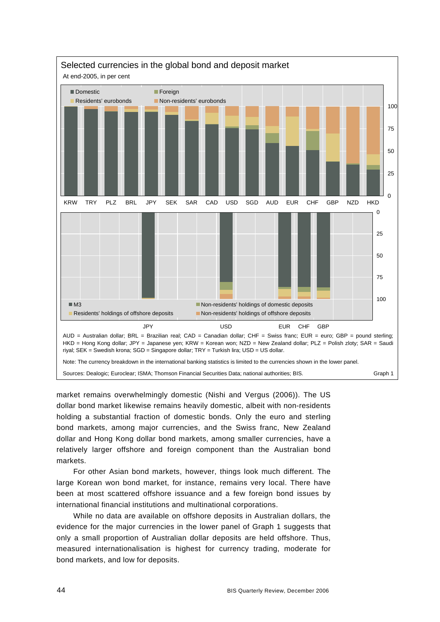

market remains overwhelmingly domestic (Nishi and Vergus (2006)). The US dollar bond market likewise remains heavily domestic, albeit with non-residents holding a substantial fraction of domestic bonds. Only the euro and sterling bond markets, among major currencies, and the Swiss franc, New Zealand dollar and Hong Kong dollar bond markets, among smaller currencies, have a relatively larger offshore and foreign component than the Australian bond markets.

For other Asian bond markets, however, things look much different. The large Korean won bond market, for instance, remains very local. There have been at most scattered offshore issuance and a few foreign bond issues by international financial institutions and multinational corporations.

While no data are available on offshore deposits in Australian dollars, the evidence for the major currencies in the lower panel of Graph 1 suggests that only a small proportion of Australian dollar deposits are held offshore. Thus, measured internationalisation is highest for currency trading, moderate for bond markets, and low for deposits.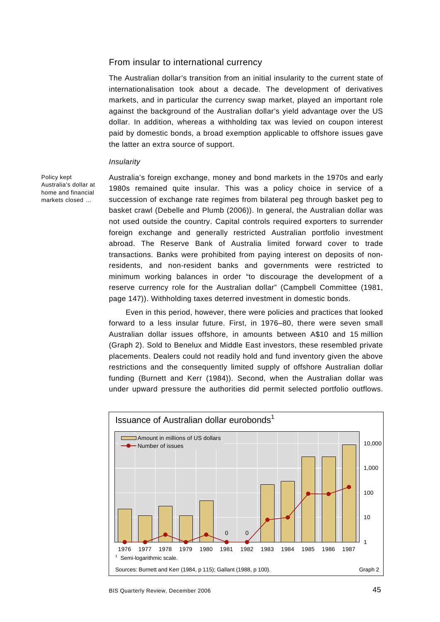## From insular to international currency

The Australian dollar's transition from an initial insularity to the current state of internationalisation took about a decade. The development of derivatives markets, and in particular the currency swap market, played an important role against the background of the Australian dollar's yield advantage over the US dollar. In addition, whereas a withholding tax was levied on coupon interest paid by domestic bonds, a broad exemption applicable to offshore issues gave the latter an extra source of support.

#### *Insularity*

Policy kept Australia's dollar at home and financial markets closed …

Australia's foreign exchange, money and bond markets in the 1970s and early 1980s remained quite insular. This was a policy choice in service of a succession of exchange rate regimes from bilateral peg through basket peg to basket crawl (Debelle and Plumb (2006)). In general, the Australian dollar was not used outside the country. Capital controls required exporters to surrender foreign exchange and generally restricted Australian portfolio investment abroad. The Reserve Bank of Australia limited forward cover to trade transactions. Banks were prohibited from paying interest on deposits of nonresidents, and non-resident banks and governments were restricted to minimum working balances in order "to discourage the development of a reserve currency role for the Australian dollar" (Campbell Committee (1981, page 147)). Withholding taxes deterred investment in domestic bonds.

Even in this period, however, there were policies and practices that looked forward to a less insular future. First, in 1976–80, there were seven small Australian dollar issues offshore, in amounts between A\$10 and 15 million (Graph 2). Sold to Benelux and Middle East investors, these resembled private placements. Dealers could not readily hold and fund inventory given the above restrictions and the consequently limited supply of offshore Australian dollar funding (Burnett and Kerr (1984)). Second, when the Australian dollar was under upward pressure the authorities did permit selected portfolio outflows.

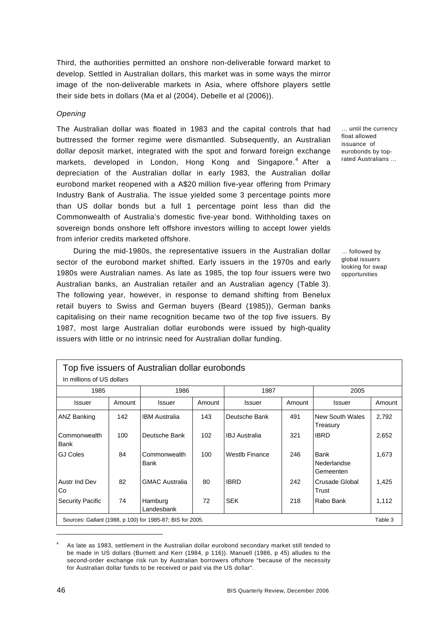Third, the authorities permitted an onshore non-deliverable forward market to develop. Settled in Australian dollars, this market was in some ways the mirror image of the non-deliverable markets in Asia, where offshore players settle their side bets in dollars (Ma et al (2004), Debelle et al (2006)).

#### *Opening*

The Australian dollar was floated in 1983 and the capital controls that had buttressed the former regime were dismantled. Subsequently, an Australian dollar deposit market, integrated with the spot and forward foreign exchange markets, developed in London, Hong Kong and Singapore.<sup>[4](#page-5-0)</sup> After a depreciation of the Australian dollar in early 1983, the Australian dollar eurobond market reopened with a A\$20 million five-year offering from Primary Industry Bank of Australia. The issue yielded some 3 percentage points more than US dollar bonds but a full 1 percentage point less than did the Commonwealth of Australia's domestic five-year bond. Withholding taxes on sovereign bonds onshore left offshore investors willing to accept lower yields from inferior credits marketed offshore.

During the mid-1980s, the representative issuers in the Australian dollar sector of the eurobond market shifted. Early issuers in the 1970s and early 1980s were Australian names. As late as 1985, the top four issuers were two Australian banks, an Australian retailer and an Australian agency (Table 3). The following year, however, in response to demand shifting from Benelux retail buyers to Swiss and German buyers (Beard (1985)), German banks capitalising on their name recognition became two of the top five issuers. By 1987, most large Australian dollar eurobonds were issued by high-quality issuers with little or no intrinsic need for Australian dollar funding.

… until the currency float allowed issuance of eurobonds by toprated Australians …

… followed by global issuers looking for swap opportunities

| Top five issuers of Australian dollar eurobonds<br>In millions of US dollars |        |                       |        |                       |        |                                  |        |  |  |  |
|------------------------------------------------------------------------------|--------|-----------------------|--------|-----------------------|--------|----------------------------------|--------|--|--|--|
| 1985                                                                         |        | 1986                  |        | 1987                  |        | 2005                             |        |  |  |  |
| <b>Issuer</b>                                                                | Amount | <b>Issuer</b>         | Amount | <b>Issuer</b>         | Amount | Issuer                           | Amount |  |  |  |
| ANZ Banking                                                                  | 142    | <b>IBM Australia</b>  | 143    | Deutsche Bank         | 491    | New South Wales<br>Treasury      | 2,792  |  |  |  |
| Commonwealth<br>Bank                                                         | 100    | Deutsche Bank         | 102    | <b>IBJ</b> Australia  | 321    | <b>IBRD</b>                      | 2,652  |  |  |  |
| <b>GJ Coles</b>                                                              | 84     | Commonwealth<br>Bank  | 100    | <b>Westlb Finance</b> | 246    | Bank<br>Nederlandse<br>Gemeenten | 1,673  |  |  |  |
| Austr Ind Dev<br>Co                                                          | 82     | <b>GMAC Australia</b> | 80     | <b>IBRD</b>           | 242    | Crusade Global<br>Trust          | 1,425  |  |  |  |
| <b>Security Pacific</b>                                                      | 74     | Hamburg<br>Landesbank | 72     | <b>SEK</b>            | 218    | Rabo Bank                        | 1,112  |  |  |  |
| Sources: Gallant (1988, p 100) for 1985-87; BIS for 2005.<br>Table 3         |        |                       |        |                       |        |                                  |        |  |  |  |

<span id="page-5-0"></span><sup>4</sup> As late as 1983, settlement in the Australian dollar eurobond secondary market still tended to be made in US dollars (Burnett and Kerr (1984*,* p 116)). Manuell (1986, p 45) alludes to the second-order exchange risk run by Australian borrowers offshore "because of the necessity for Australian dollar funds to be received or paid via the US dollar".

-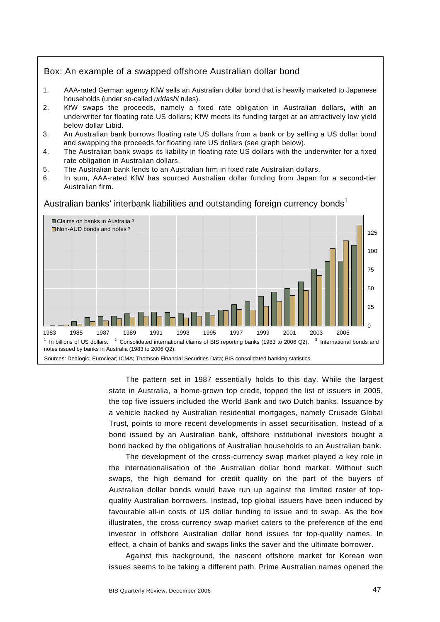## Box: An example of a swapped offshore Australian dollar bond

- 1. AAA-rated German agency KfW sells an Australian dollar bond that is heavily marketed to Japanese households (under so-called *uridashi* rules).
- 2. KfW swaps the proceeds, namely a fixed rate obligation in Australian dollars, with an underwriter for floating rate US dollars; KfW meets its funding target at an attractively low yield below dollar Libid.
- 3. An Australian bank borrows floating rate US dollars from a bank or by selling a US dollar bond and swapping the proceeds for floating rate US dollars (see graph below).
- 4. The Australian bank swaps its liability in floating rate US dollars with the underwriter for a fixed rate obligation in Australian dollars.
- 5. The Australian bank lends to an Australian firm in fixed rate Australian dollars.
- 6. In sum, AAA-rated KfW has sourced Australian dollar funding from Japan for a second-tier Australian firm.



Australian banks' interbank liabilities and outstanding foreign currency bonds<sup>1</sup>

The pattern set in 1987 essentially holds to this day. While the largest state in Australia, a home-grown top credit, topped the list of issuers in 2005, the top five issuers included the World Bank and two Dutch banks. Issuance by a vehicle backed by Australian residential mortgages, namely Crusade Global Trust, points to more recent developments in asset securitisation. Instead of a bond issued by an Australian bank, offshore institutional investors bought a bond backed by the obligations of Australian households to an Australian bank.

The development of the cross-currency swap market played a key role in the internationalisation of the Australian dollar bond market. Without such swaps, the high demand for credit quality on the part of the buyers of Australian dollar bonds would have run up against the limited roster of topquality Australian borrowers. Instead, top global issuers have been induced by favourable all-in costs of US dollar funding to issue and to swap. As the box illustrates, the cross-currency swap market caters to the preference of the end investor in offshore Australian dollar bond issues for top-quality names. In effect, a chain of banks and swaps links the saver and the ultimate borrower.

Against this background, the nascent offshore market for Korean won issues seems to be taking a different path. Prime Australian names opened the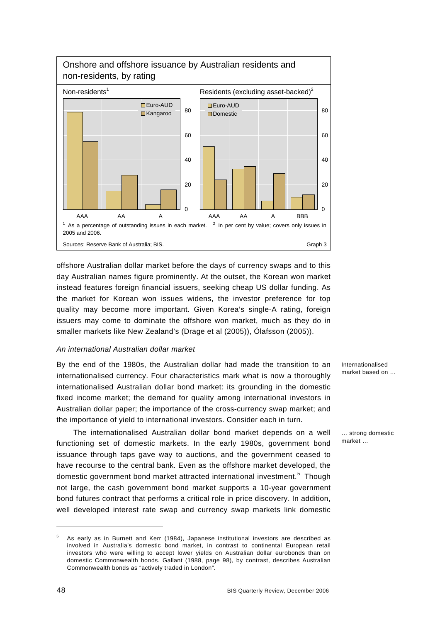

offshore Australian dollar market before the days of currency swaps and to this day Australian names figure prominently. At the outset, the Korean won market instead features foreign financial issuers, seeking cheap US dollar funding. As the market for Korean won issues widens, the investor preference for top quality may become more important. Given Korea's single-A rating, foreign issuers may come to dominate the offshore won market, much as they do in smaller markets like New Zealand's (Drage et al (2005)), Ólafsson (2005)).

### *An international Australian dollar market*

By the end of the 1980s, the Australian dollar had made the transition to an internationalised currency. Four characteristics mark what is now a thoroughly internationalised Australian dollar bond market: its grounding in the domestic fixed income market; the demand for quality among international investors in Australian dollar paper; the importance of the cross-currency swap market; and the importance of yield to international investors. Consider each in turn.

The internationalised Australian dollar bond market depends on a well functioning set of domestic markets. In the early 1980s, government bond issuance through taps gave way to auctions, and the government ceased to have recourse to the central bank. Even as the offshore market developed, the domestic government bond market attracted international investment.<sup>[5](#page-7-0)</sup> Though not large, the cash government bond market supports a 10-year government bond futures contract that performs a critical role in price discovery. In addition, well developed interest rate swap and currency swap markets link domestic

Internationalised market based on …

… strong domestic market …

1

<span id="page-7-0"></span><sup>5</sup> As early as in Burnett and Kerr (1984), Japanese institutional investors are described as involved in Australia's domestic bond market, in contrast to continental European retail investors who were willing to accept lower yields on Australian dollar eurobonds than on domestic Commonwealth bonds. Gallant (1988, page 98), by contrast, describes Australian Commonwealth bonds as "actively traded in London".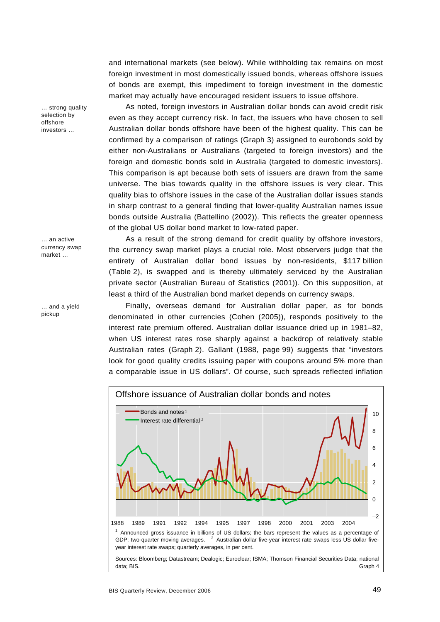and international markets (see below). While withholding tax remains on most foreign investment in most domestically issued bonds, whereas offshore issues of bonds are exempt, this impediment to foreign investment in the domestic market may actually have encouraged resident issuers to issue offshore.

As noted, foreign investors in Australian dollar bonds can avoid credit risk even as they accept currency risk. In fact, the issuers who have chosen to sell Australian dollar bonds offshore have been of the highest quality. This can be confirmed by a comparison of ratings (Graph 3) assigned to eurobonds sold by either non-Australians or Australians (targeted to foreign investors) and the foreign and domestic bonds sold in Australia (targeted to domestic investors). This comparison is apt because both sets of issuers are drawn from the same universe. The bias towards quality in the offshore issues is very clear. This quality bias to offshore issues in the case of the Australian dollar issues stands in sharp contrast to a general finding that lower-quality Australian names issue bonds outside Australia (Battellino (2002)). This reflects the greater openness of the global US dollar bond market to low-rated paper.

As a result of the strong demand for credit quality by offshore investors, the currency swap market plays a crucial role. Most observers judge that the entirety of Australian dollar bond issues by non-residents, \$117 billion (Table 2), is swapped and is thereby ultimately serviced by the Australian private sector (Australian Bureau of Statistics (2001)). On this supposition, at least a third of the Australian bond market depends on currency swaps.

Finally, overseas demand for Australian dollar paper, as for bonds denominated in other currencies (Cohen (2005)), responds positively to the interest rate premium offered. Australian dollar issuance dried up in 1981–82, when US interest rates rose sharply against a backdrop of relatively stable Australian rates (Graph 2). Gallant (1988, page 99) suggests that "investors look for good quality credits issuing paper with coupons around 5% more than a comparable issue in US dollars". Of course, such spreads reflected inflation



… strong quality selection by offshore investors …

… an active currency swap market …

… and a yield pickup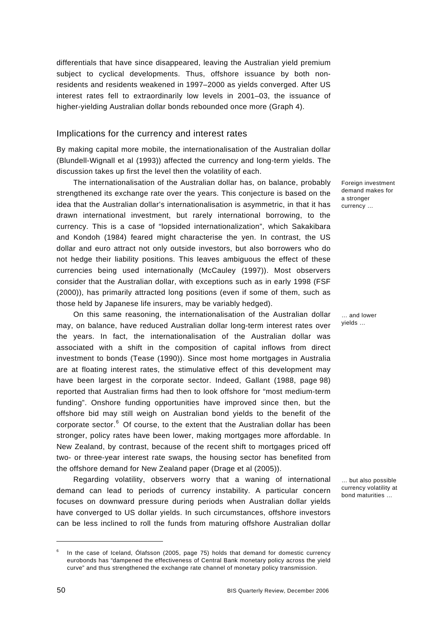differentials that have since disappeared, leaving the Australian yield premium subject to cyclical developments. Thus, offshore issuance by both nonresidents and residents weakened in 1997–2000 as yields converged. After US interest rates fell to extraordinarily low levels in 2001–03, the issuance of higher-yielding Australian dollar bonds rebounded once more (Graph 4).

## Implications for the currency and interest rates

By making capital more mobile, the internationalisation of the Australian dollar (Blundell-Wignall et al (1993)) affected the currency and long-term yields. The discussion takes up first the level then the volatility of each.

The internationalisation of the Australian dollar has, on balance, probably strengthened its exchange rate over the years. This conjecture is based on the idea that the Australian dollar's internationalisation is asymmetric, in that it has drawn international investment, but rarely international borrowing, to the currency. This is a case of "lopsided internationalization", which Sakakibara and Kondoh (1984) feared might characterise the yen. In contrast, the US dollar and euro attract not only outside investors, but also borrowers who do not hedge their liability positions. This leaves ambiguous the effect of these currencies being used internationally (McCauley (1997)). Most observers consider that the Australian dollar, with exceptions such as in early 1998 (FSF (2000)), has primarily attracted long positions (even if some of them, such as those held by Japanese life insurers, may be variably hedged).

On this same reasoning, the internationalisation of the Australian dollar may, on balance, have reduced Australian dollar long-term interest rates over the years. In fact, the internationalisation of the Australian dollar was associated with a shift in the composition of capital inflows from direct investment to bonds (Tease (1990)). Since most home mortgages in Australia are at floating interest rates, the stimulative effect of this development may have been largest in the corporate sector. Indeed, Gallant (1988, page 98) reported that Australian firms had then to look offshore for "most medium-term funding". Onshore funding opportunities have improved since then, but the offshore bid may still weigh on Australian bond yields to the benefit of the corporate sector. $6$  Of course, to the extent that the Australian dollar has been stronger, policy rates have been lower, making mortgages more affordable. In New Zealand, by contrast, because of the recent shift to mortgages priced off two- or three-year interest rate swaps, the housing sector has benefited from the offshore demand for New Zealand paper (Drage et al (2005)).

Regarding volatility, observers worry that a waning of international demand can lead to periods of currency instability. A particular concern focuses on downward pressure during periods when Australian dollar yields have converged to US dollar yields. In such circumstances, offshore investors can be less inclined to roll the funds from maturing offshore Australian dollar

Foreign investment demand makes for a stronger currency …

… and lower yields …

… but also possible currency volatility at bond maturities …

l

<span id="page-9-0"></span><sup>6</sup> In the case of Iceland, Ólafsson (2005, page 75) holds that demand for domestic currency eurobonds has "dampened the effectiveness of Central Bank monetary policy across the yield curve" and thus strengthened the exchange rate channel of monetary policy transmission.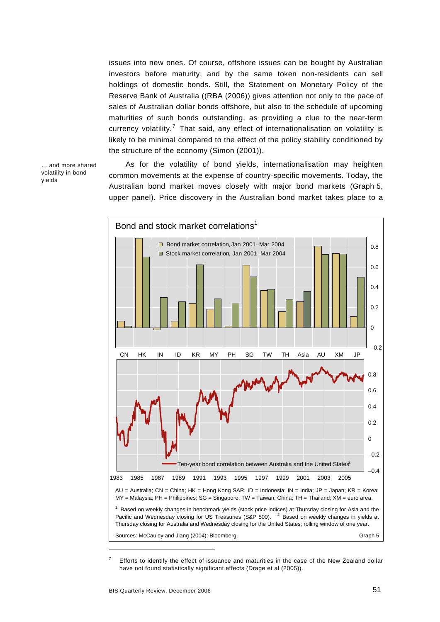issues into new ones. Of course, offshore issues can be bought by Australian investors before maturity, and by the same token non-residents can sell holdings of domestic bonds. Still, the Statement on Monetary Policy of the Reserve Bank of Australia ((RBA (2006)) gives attention not only to the pace of sales of Australian dollar bonds offshore, but also to the schedule of upcoming maturities of such bonds outstanding, as providing a clue to the near-term currency volatility.<sup>[7](#page-10-0)</sup> That said, any effect of internationalisation on volatility is likely to be minimal compared to the effect of the policy stability conditioned by the structure of the economy (Simon (2001)).

… and more shared volatility in bond yields

As for the volatility of bond yields, internationalisation may heighten common movements at the expense of country-specific movements. Today, the Australian bond market moves closely with major bond markets (Graph 5, upper panel). Price discovery in the Australian bond market takes place to a



<span id="page-10-0"></span><sup>7</sup> Efforts to identify the effect of issuance and maturities in the case of the New Zealand dollar have not found statistically significant effects (Drage et al (2005)).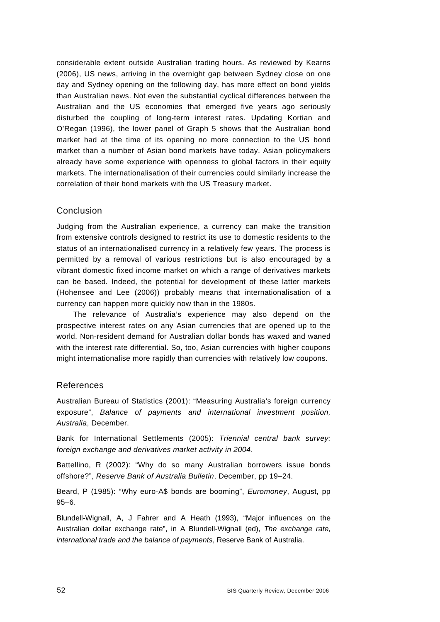considerable extent outside Australian trading hours. As reviewed by Kearns (2006), US news, arriving in the overnight gap between Sydney close on one day and Sydney opening on the following day, has more effect on bond yields than Australian news. Not even the substantial cyclical differences between the Australian and the US economies that emerged five years ago seriously disturbed the coupling of long-term interest rates. Updating Kortian and O'Regan (1996), the lower panel of Graph 5 shows that the Australian bond market had at the time of its opening no more connection to the US bond market than a number of Asian bond markets have today. Asian policymakers already have some experience with openness to global factors in their equity markets. The internationalisation of their currencies could similarly increase the correlation of their bond markets with the US Treasury market.

## Conclusion

Judging from the Australian experience, a currency can make the transition from extensive controls designed to restrict its use to domestic residents to the status of an internationalised currency in a relatively few years. The process is permitted by a removal of various restrictions but is also encouraged by a vibrant domestic fixed income market on which a range of derivatives markets can be based. Indeed, the potential for development of these latter markets (Hohensee and Lee (2006)) probably means that internationalisation of a currency can happen more quickly now than in the 1980s.

The relevance of Australia's experience may also depend on the prospective interest rates on any Asian currencies that are opened up to the world. Non-resident demand for Australian dollar bonds has waxed and waned with the interest rate differential. So, too, Asian currencies with higher coupons might internationalise more rapidly than currencies with relatively low coupons.

## References

Australian Bureau of Statistics (2001): "Measuring Australia's foreign currency exposure", *Balance of payments and international investment position, Australia*, December.

Bank for International Settlements (2005): *Triennial central bank survey: foreign exchange and derivatives market activity in 2004*.

Battellino, R (2002): "Why do so many Australian borrowers issue bonds offshore?", *Reserve Bank of Australia Bulletin*, December, pp 19–24.

Beard, P (1985): "Why euro-A\$ bonds are booming", *Euromoney*, August, pp 95–6.

Blundell-Wignall, A, J Fahrer and A Heath (1993), "Major influences on the Australian dollar exchange rate", in A Blundell-Wignall (ed), *The exchange rate, international trade and the balance of payments*, Reserve Bank of Australia.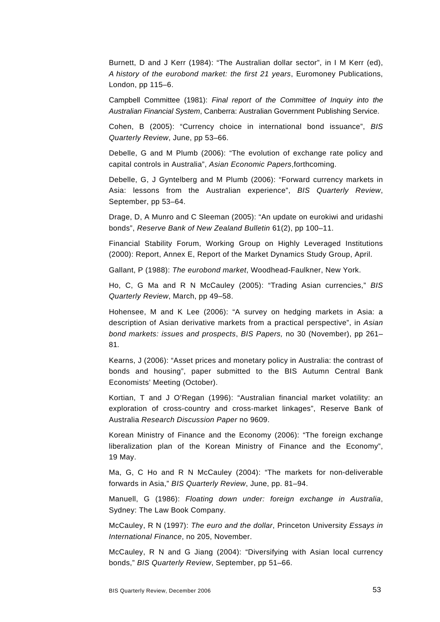Burnett, D and J Kerr (1984): "The Australian dollar sector", in I M Kerr (ed), *A history of the eurobond market: the first 21 years*, Euromoney Publications, London, pp 115–6.

Campbell Committee (1981): *Final report of the Committee of Inquiry into the Australian Financial System*, Canberra: Australian Government Publishing Service.

Cohen, B (2005): "Currency choice in international bond issuance", *BIS Quarterly Review*, June, pp 53–66.

Debelle, G and M Plumb (2006): "The evolution of exchange rate policy and capital controls in Australia", *Asian Economic Papers*,forthcoming.

Debelle, G, J Gyntelberg and M Plumb (2006): "Forward currency markets in Asia: lessons from the Australian experience", *BIS Quarterly Review*, September, pp 53–64.

Drage, D, A Munro and C Sleeman (2005): "An update on eurokiwi and uridashi bonds", *Reserve Bank of New Zealand Bulletin* 61(2), pp 100–11.

Financial Stability Forum, Working Group on Highly Leveraged Institutions (2000): Report, Annex E, Report of the Market Dynamics Study Group, April.

Gallant, P (1988): *The eurobond market*, Woodhead-Faulkner, New York.

Ho, C, G Ma and R N McCauley (2005): "Trading Asian currencies," *BIS Quarterly Review*, March, pp 49–58.

Hohensee, M and K Lee (2006): "A survey on hedging markets in Asia: a description of Asian derivative markets from a practical perspective", in *Asian bond markets: issues and prospects*, *BIS Papers,* no 30 (November), pp 261– 81*.*

Kearns, J (2006): "Asset prices and monetary policy in Australia: the contrast of bonds and housing", paper submitted to the BIS Autumn Central Bank Economists' Meeting (October).

Kortian, T and J O'Regan (1996): "Australian financial market volatility: an exploration of cross-country and cross-market linkages", Reserve Bank of Australia *Research Discussion Paper* no 9609.

Korean Ministry of Finance and the Economy (2006): "The foreign exchange liberalization plan of the Korean Ministry of Finance and the Economy", 19 May.

Ma, G, C Ho and R N McCauley (2004): "The markets for non-deliverable forwards in Asia," *BIS Quarterly Review*, June, pp. 81–94.

Manuell, G (1986): *Floating down under: foreign exchange in Australia*, Sydney: The Law Book Company.

McCauley, R N (1997): *The euro and the dollar*, Princeton University *Essays in International Finance*, no 205, November.

McCauley, R N and G Jiang (2004): "Diversifying with Asian local currency bonds," *BIS Quarterly Review*, September, pp 51–66.